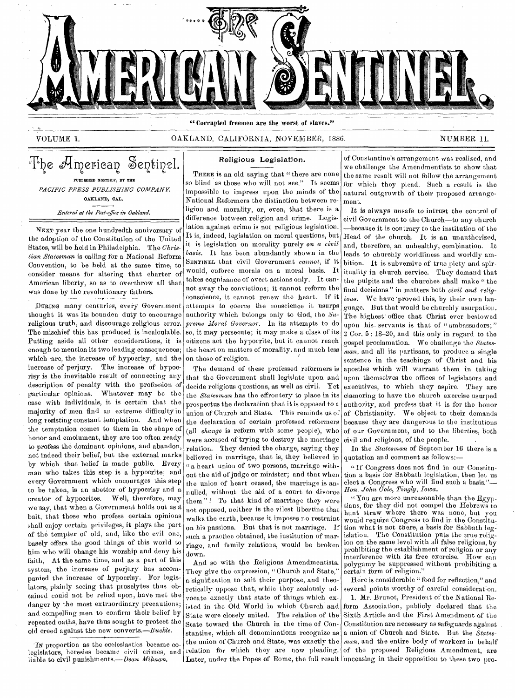

"Corrupted freemen are the worst of slaves."

VOLUME 1. CAKLAND, CALIFORNIA, NOVEMBER, 1886. NUMBER 11.

The American Sentinel. PUBLISHED MONTHLY, BY THE *PACIFIC PRESS PUBLISHING COMPANY,*  OAKLAND, CAL. *Entered at the Post-office in Oakland.* 

NEXT year the one hundredth anniversary of the adoption of the Constitution of the United States, will be held in Philadelphia. The *Christian Statesman* is calling for a National Reform Convention, to be held at the same time, to consider means for altering that charter of American liberty, so as to overthrow all that was done by the revolutionary fathers.

DURING many centuries, every Government thought it was its bounden duty to encourage religious truth, and discourage religious error. The mischief this has produced is incalculable. Putting aside all other considerations, it is enough to mention its two leading consequences; which are, the increase of hypocrisy, and the increase of perjury. The increase of hypocrisy is the inevitable result of connecting any description of penalty with the profession of particular opinions. Whatever may be the case with individuals, it is certain that the majority of men find an extreme difficulty in long resisting constant temptation. And when the temptation comes to them in the shape of honor and emolument, they are too often ready to profess the dominant opinions, and abandon, not indeed their belief, but the external marks by which that belief is made public. Every man who takes this step is a hypocrite; and every Government which encourages this step to be taken, is an abettor of hypocrisy and a creator of hypocrites. Well, therefore, may we say, that when a Government holds out as d bait, that those who profess certain opinions shall enjoy certain privileges, it plays the part of the tempter of old, and, like the evil one, basely offers the good things of this world to him who will change his worship and deny his faith, At the same time, and as a part of this system, the increase of perjury has accompanied the increase of hypocrisy. For legislators, plainly seeing that proselytes thus obtained could not be relied upon, have met the danger by the most extraordinary precautions; and compelling men to confirm their belief by repeated oaths, have thus sought to protect the old creed against the new converts.—Buckle.

In proportion as the ecclesiastics became colegislators, heresies became civil crimes, and liable to civil punishments.—Dean *Milman.* 

## Religious Legislation.

THERE is an old saying that " there are none so blind as those who will not see." It seems impossible to impress upon the minds of the National Reformers the distinction between religion and morality, or, even, that there is a difference between religion and crime. Legislation against crime is not religious legislation. It is, indeed, legislation on moral questions, but it is legislation on morality purely *on a civil basis.* It has been abundantly shown in the SENTINEL that civil Government *cannot, if* it would, enforce morals on a moral basis. It takes cognizance of overt actions only. It cannot sway the convictions; it cannot reform the conscience, it cannot renew the heart. If it attempts to coerce the conscience it usurps authority which belongs only to God, the  $Su$ *preme Moral Governor.* In its attempts to do so, it may persecute; it may make a class of its citizens act the hypocrite, but it cannot reach the heart on matters of morality, and much less on those of religion.

The demand of these professed reformers is that the Government shall legislate upon and decide religious questions, as well as civil. Yet the *Statesman* has the effrontery to place in its prospectus the declaration that it is opposed to a union of Church and State. This reminds us of the declaration of certain professed reformers (all *change* is reform with some people), who were accused of trying to destroy the marriage relation. They denied the charge, saying they believed in marriage, that is, they believed in " a heart union of two persons, marriage without the aid of judge or minister; and that when the union of heart ceased, the marriage is annulled, without the aid of a court to divorce them "! To that kind of marriage they were not opposed, neither is the vilest libertine that walks the earth, because it imposes no restraint on his passions. But that is not marriage. If such a practice obtained, the institution of marriage, and family relations, would be broken down.

And so with the Religious Amendmentists. They give the expression, "Church and State," a signification to suit their purpose, and theoretically oppose that, while they zealously advocate exactly that state of things which existed in the Old World in which Church and State were closely united. The relation of the State toward the Church in the time of Constantine, which all denominations recognize as the union of Church and State, was exactly the relation for which they are now pleading. Later, under the Popes of Rome, the full result unceasing in their opposition to these two pro-

of Constantine's arrangement was realized, and we challenge the Amendmentists to show that the same result will not follow the arrangement for which they plead. Such a result is the natural outgrowth of their proposed arrangement.

It is always unsafe to intrust the control of civil Government to the Church—to any church —because it is contrary to the institution of the Head of the church. It is an unauthorized, and, therefore, an unhealthy, combination. It leads to churchly worldliness and worldly ambition. It is subversive of true piety and spirituality in church service. They demand that the pulpits and the churches shall make "the final decisions" in matters both *civil and religious.* We have 'proved this, by their own language. But that would be churchly usurpation. The highest office that Christ ever bestowed upon his. servants is that of " ambassadors; "  $2$  Cor.  $5:18-20$ , and this only in regard to the gospel proclamation. We challenge the *Statesman,* and all its partisans, to produce a single sentence in the teachings of Christ and his apostles which will warrant them in taking upon themselves the offices of legislators and executives, to which they aspire. They are clamoring to have the church exercise usurped authority, and profess that it is for the honor of Christianity. We object to their demands because they are dangerous to the institutions of our Government, and to the liberties, both civil and religious, of the people.

In the *Statesman* of September 16 there is a quotation and comment as follows:—

"If Congress does not find in our Constitution a basis for Sabbath legislation, then let us elect a Congress who will find such a basis.' *Hon. John Cole, Tingly, Iowa.* 

"You are more unreasonable than the Egyptians, for they did not compel the Hebrews to hunt straw where there was none, but you would require Congress to find in the Constitution what is not there, a basis for Sabbath legislation. The Constitution puts the true religion on the same level with all false religions,  $\grave{\text{by}}$ prohibiting the establishment of religion or any interference with its free exercise. How can polygamy be suppressed without prohibiting a certain form of religion."

Here is considerable "food for reflection," and several points worthy of careful consideration.

I. Mr. Brunet, President of the National Reform Association, publicly declared that the Sixth Article and the First Amendment of the Constitution are necessary as safeguards against , a union of Church and State. But the *Statesman,* and the entire body of workers in behalf of the proposed Religious Amendment, are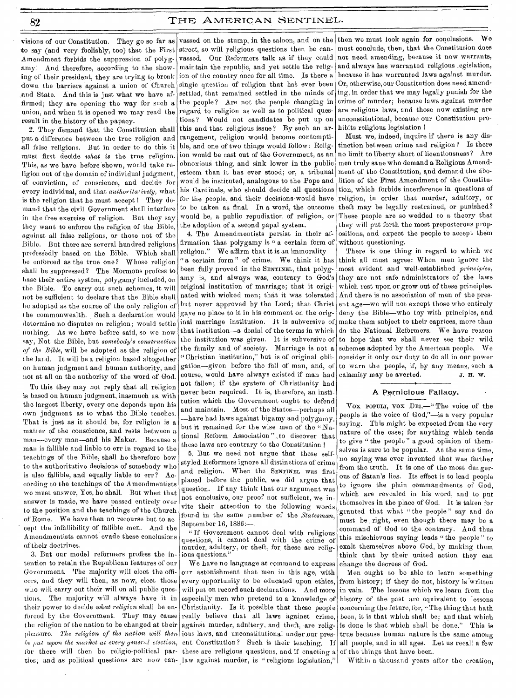to say (and very foolishly, too) that the First street, so will religious questions then be can-Amendment forbids the suppression of polygamy! And therefore, according to the showing of their president, they aro trying to break down the barriers against a union of Church ,and State. And this is just what we have affirmed; they are opening the way for such a union, and when it is opened we may read the result in the history of the papacy.

2. They demand that the Constitution shall put a difference between the true religion and all false religions. But in order to do this it must first decide *what is* the true religion. This, as we have before shown, would take religion out of the domain of individual judgment, of conviction, of conscience, and decide for every individual, and that *authoritatively*, what is the religion that he must accept ! They demand that the civil Government shall interfere in the free exercise of religion. But they say they want to enforce the religion of the Bible, against all false religions, or those not of the Bible. But there are several hundred religions professedly based on the Bible. Which shall be enforced as the true one? Whose religion shall be suppressed? The Mormons profess to base their entire system, polygamy included, on the Bible. To carry out such schemes, it will not be sufficient to declare that the Bible shall be adopted as the source of the only religion of the commonwealth. Such a declaration would determine no disputes on religion; would settle nothing. As we have before said, so we now say, Not the Bible, but *somebody's construction of the Bible,* will be adopted as the religion of the land. It will be a religion based altogether on human judgment and human authority, and not at all on the authority of the word of God.

To this they may not reply that all religion is based on human judgment, inasmuch as, with the largest liberty, every one depends upon his own judgment as to what the Bible teaches. That is just as it should be, for religion is a matter of the conscience, and rests between a man---every man---and his Maker. Because a man is fallible and liable to err in regard to the teachings of the Bible, shall he therefore bow to the authoritative decisions of somebody who is also fallible, and equally liable to err? According to the teachings of the Amendmentists we must answer, Yes, he shall. But when that answer is made, we have passed entirely over to the position and the teachings of the Church of Rome. We have then no recourse but to accept the infallibility of fallible men. And the Amendmentists cannot evade these conclusions of their doctrines.

3. But our model reformers profess the intention to retain the Republican features of our Government. The majority will elect the officers, and they will then, as now, elect those who will carry out their will on all public questions. The majority will always• have it in their power to decide *what religion* shall be enforced by the Government. They may cause the religion of the nation to be changed at their pleasure. *The religion of the nation will then he put upon the market at every general election,*  for there will then be religio-political par-

visions of our Constitution. They go so far as vassed on the stump, in the saloon, and on the then we must look again for conclusions. We vassed. Our Reformers talk as if they could maintain the republic, and yet settle the religion of the country once for all time. Is there a single question of religion that has ever been settled, that remained settled in the minds of the people? Are not the people changing in regard to religion as well as to political questions? Would not candidates be put up on this and that religious issue? By such an arrangement, religion would become contemptible, and one of two things would follow: Religion would be cast out of the Government, as an obnoxious thing, and sink lower in the public esteem than it has ever stood; or, a tribunal would be instituted, analogous to the Pope and his Cardinals, who should decide all questions for the people, and their decisions would have to be taken as final. In a word, the outcome would be, a public repudiation of religion, or the adoption of a second papal system.

4. The Amendmentists persist in their affirmation that polygamy is "a certain form of religion." We affirm that it is an immorality-" a certain form" of crime. We think it has been fully proved in the SENTINEL, that polygamy is, and always was, contrary to God's original institution of marriage; that it originated with wicked men; that it was tolerated but never approved by the Lord; that Christ gave no place to it in his comment on the orig- $\ln a$  marriage institution. It is subversive of that institution—a denial of the terms in which the institution was given. It is subversive of the family and of society. Marriage is not a "Christian institution," but is of original obligation—given before the fall of man, and, of course, would have always existed if man had not fallen; if the system of Christianity had never been required. It is, therefore, an institution which the Government ought to defend and maintain. Most of the States—perhaps all —have had laws against bigamy and polygamy, but it remained for the wise men of the "National Reform Association "\_\_to discover that these laws are contrary to the Constitution !

5. But we need not argue that these selfstyled Reformers ignore all distinctions of crime and religion. When the SENTINEL was first placed before the public, we did argue that question. If any think that our argument was not conclusive, our proof not sufficient, we invite their attention to the following words found in the same number of the *Statesman,*  September 16, 1886:—,

"If Government cannot deal with religious questions, it cannot deal with the crime of murder, adultery, or theft, for these are religious questions.

We have no language at command to express our astonishment that men in this age, with every opportunity to be educated upon ethics, Christianity. Is it possible that these people concerning the future, for, "The thing that hath these are religious questions, and if enacting a of the things that have been. ties; and as political questions are now can- law against murder, is "religious legislation," | Within a thousand years after the creation,

must conclude, then, that the Constitution does not need. amending, because it now warrants, and always has warranted religious legislation, because it has warranted laws against murder. Or, otherwise, our Constitution does need amending, in order that we may legally punish for the crime of murder; because laws against murder are religious laws, and those now existing are unconstitutional, because our Constitution prohibits religious legislation

Must we, indeed, inquire if there is any distinction between crime and religion? Is there no limit to liberty short of licentiousness? Are men truly sane who demand a Religious Amendment of the Constitution, and demand the abolition of the First Amendment of the Constitution, which forbids interference in questions of religion, in order that murder, adultery, or theft may be legally restrained, or punished? These people are so wedded to a theory that they will put forth the most preposterous propositions, and expect the people to accept them without questioning.

There is one thing in regard to which we think all must agree: When men ignore the most evident and well-established *principles,*  they are not safe administrators of the laws which rest upon or grow out of these principles. And there is no association of men of the present age—we will not except those who entirely deny the Bible—who toy with principles, and make them subject to their caprices, more than do the National Reformers. We have reason to hope that we shall never see their wild schemes adopted by the American people. We consider it only our duty to do all in our power to warn the people, if, by any means, such a calamity may be averted. J. H. W.

### A Pernicious Fallacy.

VOX POPULI, vox DEI,—" The voice of the people is the voice of God,"—is a very popular saying. This might be expected from the very nature of the case; for anything which tends to give " the people " a good opinion of themselves is sure to be popular. At the same time, no saying was ever invented that was farther from the truth. It is one of the most dangerous of Satan's lies. Its effect is to lead people to ignore the plain commandments of God, which are revealed in his word, and to put themselves in the place of God. It is taken for 'granted that what " the people " say and do must be right, even though there may be a command of God to the contrary. And thus this mischievous saying leads " the people " to exalt themselves above God, by making them think that by their united action they can change the decrees of God.

will put on record such declarations. And more in vain. The lessons which we learn from the especially men who pretend to a knowledge of history of the past are equivalent to lessons really believe that all laws against crime, been, it is that which shall be; and that which against murder, adultery, and theft, are relig- is done is that which shall be done." This is ious laws, and unconstitutional under our pres- true because human nature is the same among ent Constitution? Such is their teaching. If all people, and in all ages. Let us recall a few Men ought to be able to learn something from history; if they do not, history is written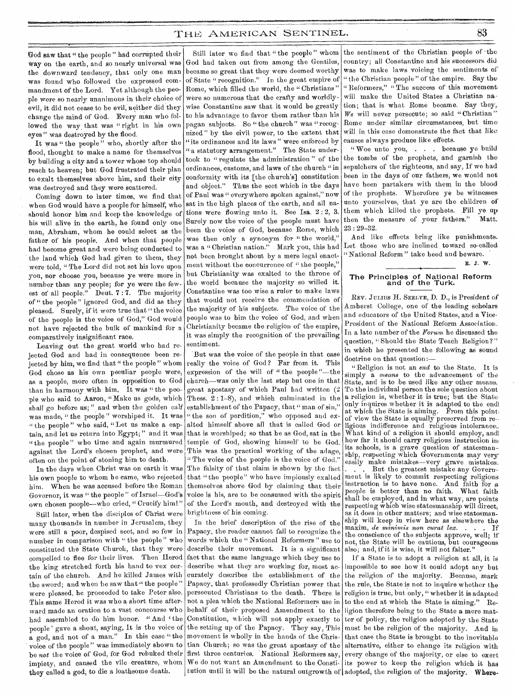God saw that " the people " had corrupted their Way on the earth, and so nearly universal was the downward tendency, that only one man was found who followed the expressed commandment of the Lord. Yet although the people were so nearly unanimous in their choice of evil, it did not cease to be evil, neither did they change the mind of God. Every man who followed the way that was "right in his own eyes" was destroyed by the flood.

It was " the people" who, shortly after the flood, thought to make a name for themselves by building a city and a tower whose top should reach to heaven; but God frustrated their plan to exalt themselves above him, and their city was destroyed and they were scattered.

Coming down to later times, we find that when God would have a people for himself; who should honor him and keep the knowledge of his will alive in the earth, he found only one man, Abraham, whom he could select as the father of his people. And when that people had become great and were being conducted to the land which God had given to them, they were told, " The Lord did not set his love upon you, nor choose you, because ye were more in number than any people; for ye were the fewest of all people." Deut. 7:7. The majority of " the people" ignored God, and did as they pleased. Surely, if it were true that " the voice of the people is the voice of God," God would not have rejected the bulk of mankind for a comparatively insignificant race.

Leaving out the great world who had rejected God and had in consequence been rejected by him, we find that " the people" whom God chose as his own peculiar people were, as a people, more often in opposition to God than in harmony with him. It was " the people who said to Aaron, "Make us gods, which shall go before us;" and when the golden calf was made, " the people " worshiped it. It was " the people" who said, "Let us make a captain, and let us return into Egypt; " and it was "the people" who time and again murmured against the Lord's chosen prophet, and were often on the point of stoning him to death.

In the days when Christ was on earth it was his own people to whom he came, who rejected him. When he was accused before the Roman Governor, it was " the people " of Israel—God's own chosen people-who cried, " Crucify him!"

Still later, when the disciples of Christ were many thousands in number in Jerusalem, they were still a poor, despised sect, and so few in number in comparison with " the people " who constituted the State Church, that they were compelled to flee for their lives. Then Herod fact that the same language which they use to the king stretched forth his hand to vex certain of the church. And he killed James with the sword; and when he saw that "the people" were pleased, he proceeded to take Peter also. This same Herod it was who a short time afterward made an oration to a vast concourse who had assembled to do him honor. "And 'the people' gave a shout, saying, It is the voice of a god, and not of a man." In this case " the voice of the people" was immediately shown to be *not* the voice of God, for God rebuked their first three centuries. National Reformers say, impiety, and caused the vile creature, whom they called a god, to die a loathsome death.

Still later we find 'that "the people" whom God had taken out from among the Gentiles, became so great that they were deemed worthy of State "recognition." In the great empire of Rome, which filled the world, the " Christians " were so numerous that the crafty and worldlywise Constantine saw that it would be greatly to his advantage to favor them rather than his pagan subjects. So "the church" was "recognized " by the civil power, to the extent that "its ordinances and its laws" were enforced by " a statutory arrangement." The State undertook to "regulate the administration" of the ordinances, customs, and laws of the church "in conformity with its [the church's] constitution and object." Thus the sect which in the days of Paul was " everywhere spoken against," now sat in the high places of the earth, and all nations were flowing unto it. See Isa. 2 : 2, 3. Surely now the voice of the people must have been the voice of God, because Rome, which was then only a synonym for "the world," was a "Christian nation." Mark you, this had not been brought about by a mere legal enactment without the concurrence of "the people," but Christianity was exalted to the throne of the world because the majority so willed it. Constantine was too wise a ruler to make laws that would not receive the commendation of the majority of his subjects. The voice of the people was to him the voice of God, and when Christianity became the religion of the empire, it was simply the recognition of the prevailing sentiment.

But was the voice of the people in that case really the voice of God? Far from it. This expression of the will of " the people "—the church—was only the last step but one in that great apostasy of which Paul had written (2 Thess. 2 : 1-8), and which culminated in the establishment of the Papacy, that " man of sin," "the son of perdition," who opposed and exalted himself above all that is called God or that is worshiped; so that he as God, sat in the temple of God, showing himself to be God. This was the practical working of the adage, "The voice of the people is the voice of God." The falsity of that claim is shown by the fact that "the people" who have impiously exalted themselves above God by claiming that their voice is his, are to be consumed with the spirit of the Lord's mouth, and destroyed with the brightness of his coming.

In the brief description of the rise of the Papacy, the reader cannot fail to recognize the words which the "National Reformers" use to describe their movement. It is a significant describe what they are working for, most accurately describes the establishment of the Papacy, that professedly Christian power that persecuted Christians to the death. There is not a plea which the National Reformers use in behalf of their proposed Amendment to the Constitution, which will not apply exactly to the setting up of the Papacy. They say, This movement is wholly in the hands of the Christian Church; so was the great apostasy of the We do not Want an Amendment to the Consti-

the sentiment of the Christian people of •the country; all Constantine and his successors did, was to make laws voicing the sentiments of " the Christian people" of the empire. Say the "Reformers," "The success of this movement will make the United States a Christian nation; that is what Rome became. Say they, We will never persecute; so said "Christian" Rome under similar circumstances, but time will in this case demonstrate the fact that like causes always produce like effects.

" Woe unto you, . . . because ye build the tombs of the prophets, and garnish the sepulchers of the righteous, and say, If we had been in the days of our fathers, we would not have been partakers with them in the blood of the prophets. Wherefore ye be witnesses unto yourselves, that ye are the children of them which killed the prophets. Fill ye up then the measure of your fathers." Matt. 23 : 29-32.

And like effects bring like punishments.. Let those who are inclined toward so-called "National Reform" take heed and beware.

# The Principles of National Reform and of the Turk.

REV. JULIUS H. SEELYE, D. D., is President of Amherst College, one of the leading scholars and educators of the United States, and a Vice-President of the National Reform Association. In a late number of the *Forum* he discussed the question, "Should the State Teach Religion?" in which he presented the following as sound doctrine on that question:—

" Religion is not an *end* to the State. It is simply a *means* to the advancement of the State, and is to be used like any other means. To the individual person the sole question about a religion is, whether it is true; but the State only inquires whether it is adapted to the end; at which the State is aiming. From this point, of view the State is equally preserved from religious indifference and religious intolerance:. What kind of a religion it should employ, and! how far it should carry religious instruction in its schools, is a grave question of statesman- ship, respecting which Governments may veryeasily make mistakes—very grave mistakes.

But the greatest mistake any Government is likely to commit respecting religious<br>instruction is to have none. And faith for a instruction is to have none. people is better than no faith. What faith shall be employed, and in what way, are points respecting which wise statesmanship will direct, as it does in other matters; and wise statesmanship will keep in view here as elsewhere the maxim, *de minimis non curat lex.* the conscience of the subjects approve, well; if' not, the State will be cautious, but courageous also; and, if it is wise, it will not falter."

tution until it will be the natural outgrowth of adopted, the religion of the majority. Where-If a State is to adopt a religion at all, it is impossible to see how it could adopt any but the religion of the majority. Because, mark the rule, the State is not to inquire whether the religion is true, but only, " whether it is adapted to the end at which the State is aiming." Religion therefore being to the State a mere matter of policy, the religion adopted by the State must be the religion of the majority. And in that case the State is brought to the inevitable alternative, either to change its religion with every change of the majority, or else to exert its power to keep the religion which it has

E. J. w..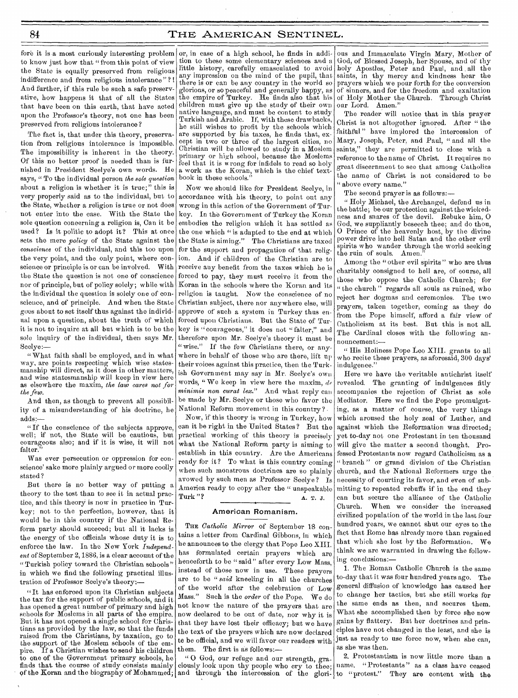fore it is .a most curiously interesting problem to know just how that " from this point of view the State is equally preserved from religious indifference and from religious intolerance"? ! And further, if this rule be such a safe preservative, how happens it that of all the States that have been on this earth, that have acted upon the Professor's theory, not one has been preserved from religious intolerance?

The fact is, that under this theory, preservation from religious intolerance is impossible. The impossibility is inherent in the theory. Of this no better proof is needed than is furnished in President Seelye's own words. He says, " To the individual person *the sole question*  about a religion is whether it is true;" this is very properly said as to the individual, but to the State, whether a religion is true or not does not enter into the case. With the State the sole question concerning a religion is, Can it be used? Is it politic to adopt it? This at once sets the mere *policy* of the State against the *conscience* of the individual, and this too upon the very point, and the only point, where conscience or principle is or can be involved. With the State the question is not one of conscience nor of principle, but of policy solely; while with the individual the question is solely one of conscience, and of principle. And when the State goes about to set itself thus against the individual upon a question, about the truth of which it is not to inquire at all but which is to be the sole inquiry of the individual, then says Mr. Seelye:—

" What faith shall be employed, and in what way, are points respecting which wise statesmanship will direct, as it does in other matters, and wise statesmanship will keep in view here as elsewhere the maxim, the law cares not for *the few.* 

And then, as though to prevent all possibility of a misunderstanding of his doctrine, he adds:—

" If the conscience of the subjects approve, well; if not, the State will be cautious, but courageous also; and if it is wise, it will not falter.

Was ever persecution or oppression for conscience' sake more plainly argued or more coolly stated ?

But there is no better way of putting a theory to the test than to see it in actual practice, and this theory is now in practice in Turkey; not to the perfection, however, that it would be in this country if the National Reform party should succeed; but all it lacks is the energy of the officials whose duty it is to enforce the law. In the New York *Independent* of September 2, 1886, is a clear account of the " Turkish policy toward the Christian schools" in which we find the following practical illustration of Professor Seelye's theory:—

" It has enforced upon its Christian subjects the tax for the support of public schools, and it has opened a great number of primary and high schools for Moslems in all parts of the empire. But it has not opened a single school for Christians as provided by the law, so that the funds raised from the Christians, by taxation, go to the support of the Moslem schools of the empire. If a Christian wishes to send his children to one of the Government primary schools, he finds that the course of study consists mainly

or, in ease of a high school, he finds in addition to these some elementary sciences and a little history, carefully emasculated to avoid any impression on the mind of the pupil, that there is or can be any country in the world so glorious, or so peaceful and generally happy, as the empire of Turkey. He finds also that his children must give up the study of their own native language, and must be content to study Turkish and Arabic. If, with these drawbacks, he still wishes to profit by the schools which are supported by his taxes, he finds that, except in two or three of the largest cities, no Christian will be allowed to study in a Moslem primary or high school, because the Moslems feel that it is wrong for infidels to read so holy a work as the Koran, which is the chief textbook in these schools."

Now we should like for President Seelye, in accordance with his theory, to point out any wrong in this action of the Government of Turkey. In the Government of Turkey the Koran embodies the religion which it has settled as the one which " is adapted to the end at which the State is aiming." The Christians are taxed for the support and propagation of that religion. And if children of the Christian are to receive any benefit from the taxes which be is forced to pay, they must receive it from the Koran in the schools where the Koran and its religion is taught. Now the conscience of no Christian subject, there nor anywhere else, will approve of such a system in Turkey thus enforced upon Christians. But the State of Turkey is "courageous," it does not "falter," and therefore upon Mr. Seelye's theory it must be "wise." If the few Christians there, or anywhere in behalf of those who are there, lift up their voices against this practice, then the Turkish Government may say in Mr. Seelye's own words, "We keep in view here the maxim, de *minimis non carat lex."* And what reply can be made by Mr. Seelye or those who favor the National Reform movement in this country ?

Now, if this theory is wrong in Turkey, how can it be right in the United States? But the practical working of this theory is precisely what the National Reform party is aiming to establish in this country. Are the Americans ready for it? To what is this country coming when such monstrous doctrines are so plainly avowed by such men as Professor Seelye ? Is America ready to copy after the " unspeakable Turk "? A. T. J.

#### American Romanism.

THE *Catholic Mirror* of September 18 contains a letter from Cardinal Gibbons, in which he announces to the clergy that Pope Leo XIII. has formulated certain prayers which are henceforth to be " said" after every Low Mass, instead of those now in use. These prayers are to be *"said* kneeling in all the churches of the world after the celebration of Low Mass." Such is the *order* of the Pope. We do not know the nature of the prayers that are now declared to be out of date, nor why it is that they have lost their efficacy; but we have the text of the prayers which are now declared to be official, and we will favor our readers with them. The first is as follows:—

" 0 God, our refuge and our strength, graciously look upon thy people who cry to thee; ous and Immaculate Virgin Mary, Mother of God, of Blessed Joseph, her Spouse, and of thy holy Apostles, Peter and Paul, and . all the saints, in thy mercy and kindness hear the prayers which we pour forth for the conversion of sinners, and for the freedom and exaltation of Holy Mother the Church. Through Christ our Lord. Amen."

The reader will notice that in this prayer Christ is not altogether ignored. After " the faithful" have implored the intercession of Mary, Joseph, Peter, and Paul, " and all the saints," they are permitted to close with a reference to the name of Christ. It requires no great discernment to see that among Catholics the name of Christ is not considered to be " above every name."

The second prayer is as follows:—

" Holy Michael, the Archangel, defend us in the battle; be our protection against the wickedness and snares of the devil. Rebuke him, 0 God, we suppliantly beseech thee; and do thou, 0 Prince of the heavenly host, by the divine power drive into hell Satan and the other evil spirits who wander through the world seeking the ruin of souls. Amen.

Among the "other evil spirits" who are thus charitably consigned to hell are, of course, all those who oppose the Catholic Church; for " the church " regards all souls as ruined, who reject her dogmas and ceremonies. The two prayers, taken together, coming as they do from the Pope himself, afford a fair view of Catholicism at its best. But this is not all. The Cardinal closes with the following announcement:—

" His Holiness Pope Leo XIII. grants to all who recite these prayers, as aforesaid, 300 days' in dulgen ce."

Here we have the veritable antichrist itself revealed. The granting of indulgences fitly accompanies the rejection of Christ as sole Mediator. Here we find the Pope promulgating, as a matter of course, the very things which aroused the holy zeal of Luther, and against which the Reformation was directed; yet to-day not one Protestant in ten thousand will give the matter a second thought. Professed Protestants now regard Catholicism as a " branch" or grand division of the Christian church, and the National Reformers urge the necessity of courting its favor, and even of submitting to repeated rebuffs if in the end they can but secure the alliance of the Catholic Church. When we consider the increased civilized population of the world in the last four hundred years, we cannot shut our eyes to the fact that Rome has already more than regained that which she lost by the Reformation. We think we are warranted in drawing the following conclusions:-

1. The Roman Catholic Church is the same to-day that it was four hundred years ago. The general diffusion of knowledge has caused her to change her tactics, but she still works for the same ends as then, and secures them. What she accomplished then by force she now gains by flattery. But her doctrines and principles have not changed in the least, and she is just as ready to use force now, when she can, as she was then.

of the Koran and the biography of Mohammed; and through the intercession of the glori- to "protest." They are content with the 2. Protestantism is now little more than a name. "Protestants" as a class have ceased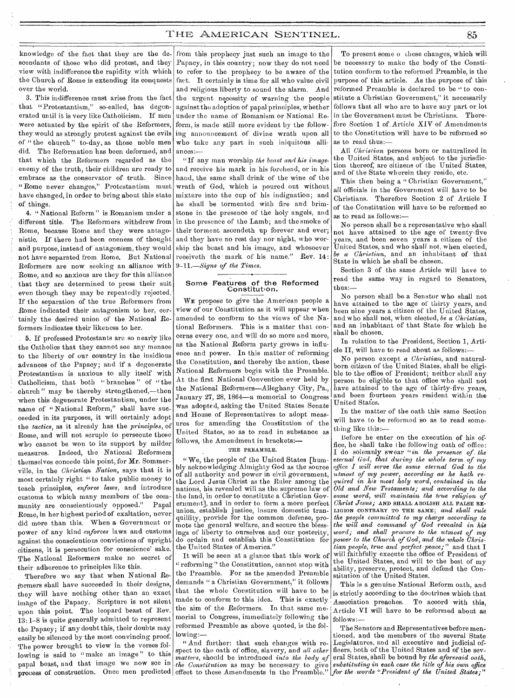knowledge of the fact that they are the descendants of those who did protest, and they view with indifference the rapidity with which the Church of Rome is extending its conquests over the world.

3. This indifference must arise from the'fact that "Protestantism," so-called, has degenerated until it is very like Catholicism. If men were actuated by the spirit of the Reformers, they would as strongly protest against the evils of "the church" to-day, as those noble men did. The Reformation has been deformed, and that which the Reformers regarded as the enemy of the truth, their children are ready to embrace as the conservator of truth. Since " Rome never changes," Protestantism must have changed, in order to bring about this state of things.

4. "National Reform" is Romanism under a different title. The Reformers withdrew from Rome, because Rome and they were antagonistic. If there had been oneness of thought and purpose, instead of antagonism, they would not have separated from Rome. But National Reformers are now seeking an alliance with Rome, and so anxious are they for this alliance that they are determined to press their suit even though they may be repeatedly rejected. If the separation of the true Reformers from Rome indicated their antagonism to her, certainly the desired union of the National Reformers indicates their likeness to her.

5. If professed Protestants are so nearly like the Catholics that they cannot see any menace to the liberty of our country in the insidious advances of the Papacy; and if a degenerate Protestantism is anxious to ally itself with Catholicism, that both " branches " of "the church " may be thereby strengthened,—then when this degenerate Protestantism, under the name of " National Reform," shall have succeeded in its purposes, it will certainly adopt the *tactics,* as it already has the *principles,* of Rome, and will not scruple to persecute those who cannot be won to its support by milder measures. Indeed, the National Reformers themselves concede this point, for Mr. Sommerville, in the *Christian Nation,* says that it is most certainly right " to take public money to teach principles, *enforce laws,* and introduce customs to which many members of the community are conscientiously opposed." Papal Rome, in her highest period of exaltation, never did more than this. When a Government or power of any kind *enforces* laws and customs against the conscientious convictions of upright citizens, it is persecution for conscience' sake. The National Reformers make no secret of their adherence to principles like this.

Therefore we say that when National Reformers shall have succeeded in their designs, they will have nothing other than an exact image of the Papacy. Scripture is not silent upon this point. The leopard beast of Rev. 13: 1-8 is quite generally admitted to represent the Papacy; if any doubt this, their doubts may easily be silenced by the most convincing proof. The power brought to view in the verses following is said to "make an image" to this papal beast, and that image we now see in process of construction. Once men predicted

from this prophecy just such an image to the Papacy, in this country; now they do not need to refer to the prophecy to be aware of the fact. It certainly is time for all who value civil and religious liberty to sound the alarm. And the urgent necessity of warning the people against the adoption of papal principles, whether under the name of Romanism or National Reform, is made still more evident by the following announcement of divine wrath upon. all who take any part in such iniquitous alliances:—

"If any man worship *the beast and his image,*  and receive his mark in his forehead, or in his hand, the same shall drink of the wine of the wrath of God, which is poured out without mixture into the cup of his indignation; and he shall be tormented with fire and brimstone in the presence of the holy angels, and in the presence of the Lamb; and the smoke of their torment ascendeth up forever and ever; and they have no rest day nor night, who worship the beast and his image, and whosoever receiveth the mark of his name." Rev. 14: *9-11.--Signs of the Times.* 

# Some Features of the Reformed<br>Constitution.

WE propose to give the American people a view of our Constitution as it will appear when amended to conform to the views of the National Reformers. This is a matter that concerns every one, and will do so more and more, as the National Reform party grows in influence and power. In this matter of reforming the Constitution, and thereby the nation, these National Reformers begin with the Preamble. At the first National Convention ever held by the National Reformers—Alleghany City, Pa., January 27, 28, 1864—a memorial to Congress was adopted, asking the United States Senate and House of Representatives to adopt measures for amending the Constitution of the United States, so as to read in substance as follows, the Amendment in brackets:—

#### THE PREAMBLE

" We, the people of the United States [humbly acknowledging Almighty God as the source of all authority and power in civil government, the Lord Jesus Christ as the Ruler among the nations, his revealed will as the supreme law of the land, in order to constitute a Christian Government], and in order to form a more perfect union, establish justice, insure domestic tranquillity, provide for the common defense, promote the general welfare, and secure the blessings of liberty to ourselves and our posterity, do ordain and establish this Constitution for the United States of America."

It will be seen at a glance that this work of " reforming " the Constitution, cannot stop with the Preamble. For as the amended Preamble demands " a Christian Government," it follows that the whole Constitution will have to be made to conform to this idea. This is exactly the aim of the Reformers. In that same memorial to Congress, immediately following the reformed Preamble as above quoted, is the following:—

" And further: that such changes with respect to the oath of office, slavery, and *all other matters,* should be introduced *into the body of -the Constitution* as may be necessary to give effect to these Amendments in the Preamble." $\mid$ 

To present some o these changes, which will be necessary to make the body of the Constitution conform to the reformed Preamble, is the purpose of this article. As the purpose of this reformed Preamble is declared to be " to constitute a Christian Government," it necessarily follows that all who are to have any part or lot in the Government must be Christians. Therefore Section 1 of.Article XIV of Amendments to the Constitution will have to be reformed so as to read thus:—

All *Christian* persons born or naturalized in the United States, and subject to the jurisdiction thereof; are citizens of the United States, and of the State wherein they reside, etc.

This then being a "Christian Government," all officials in the Government will have to be • Christians. Therefore Section 2 of Article I of the Constitution will have to be reformed so as to read as follows:—

No person shall be a representative who shall not have attained to the age of twenty-five years, and been seven years a citizen of the United States, and who shall not, when elected, *be a Christian,* and an inhabitant of that State in which he shall be chosen.

Section 3 of the same Article will have to read the same way in regard to Senators, thus:

No person shall be. a Senator who shall not have attained to the age of thirty years, and been nine years a citizen of the United States, and who shall not, when elected, *be a Christian,*  and an inhabitant of that State for which he shall be chosen.

In relation to the President, Section 1, Article II, will have to read about as follows:-

No person except *a Christian,* and naturalborn citizen of the United States, shall be eligible to the office of President; neither shall any person be eligible to that office who shall not have attained to the age of thirty-five years, and been fourteen years resident within the United States.

In the matter of the oath this same Section will have to be reformed so as to read something like this:—

Before he enter on the execution of his office, he shall take the following oath of office: I do solemnly swear *"in the presence of. the eternal God, that during the whole term of my office I will serve the same eternal God to the utmost of my power, according as he bath required in his most holy word, contained in the Old and New Testaments; and according to the same word, will maintain the true religion of Christ Jesus;* AND SHALL ABOLISH ALL FALSE RE-LIGION CONTRARY TO THE SAME; *and shall rule the people committed to my charge according to the will and command of God revealed in his word; and shall procure to the utmost of my power to the Church of God, and the whole Christian people, true and perfect peace ;"* and that I will faithfully execute the office of President of the United States, and will to the best of my ability, preserve, protect, and defend the Constitution of the United States.

This is a genuine National Reform oath, and is strictly according to the doctrines which that Association preaches. To accord with this, Article VI will have to be reformed about as follows:—

The Senators and Representatives before mentioned, and the members of the several State Legislatures, and all executive and judicial officers, both of the United States and of the several States, shall be bound by *the aforesaid oath, substituting in each case the title of his own office for the words "President of the United States;"*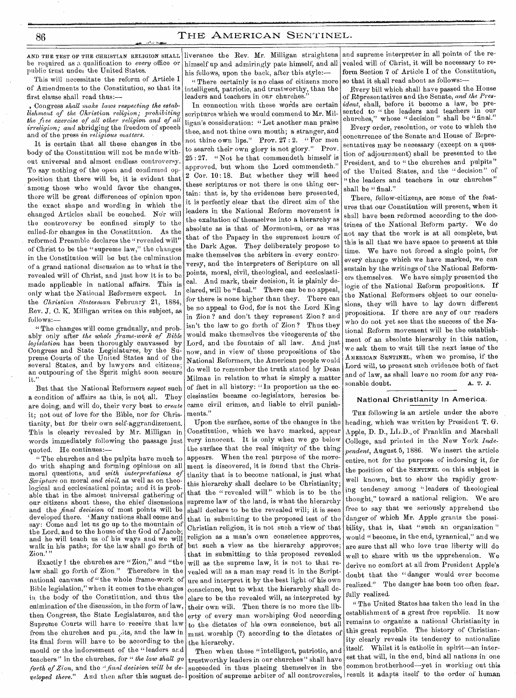AND THE TEST OF THE CHRISTIAN RELIGION SHALL be required as a qualification to *every* office or public trust under the United States.

This will necessitate the reform of Article I of Amendments to the Constitution, so that its first clause shall read thus:—

\* Congress *shall make laws respecting the establishment of the Christian religion; prohibiting the free exercise of all other religion and of all irreligion; and* abridging the freedom of speech and of the press *in religious matters*.

It is certain that all these changes in the body of the Constitution will not be made without universal and almost endless controversy. To say nothing of the open and confirmed opposition that there will be, it is evident that among those who would favor the changes, there will be great differences of opinion upon the exact shape and wording in which the changed Articles shall be couched. Nor will the controversy be confined simply to the called-for changes in the Constitution. As the reformed Preamble declares the "revealed will' of Christ to be the "supreme law," the changes in the Constitution will be but the culmination of a grand national discussion as to what is the revealed will of Christ, and just how it is to be made applicable in national affairs. This is only what the National Reformers expect. In the *Christian Statesman* February 21, 1884, Rev. J. C. K. Milligan writes on this subject, as follows:—

" The changes will come gradually, and probably only after *the whole frame-work of Bible legislation* has been thoroughly canvassed by Congress and State Legislatures, by the Supreme Courts of the United States and of the several States, and by lawyers and citizens; an outpouring of the Spirit might soon secure it."

But that the National Reformers *expect* such a condition of affairs as this, is not. all. They are doing, and will do, their very best to *create*  it; not out of love for the Bible, nor for Christianity, but for their own self-aggrandizement. This is clearly revealed by Mr. Milligan in words immediately following the passage just quoted. He continues:-

" The churches and the pulpits have much to do with shaping and forming opinions on all moral questions, and *with interpretations of Scripture* on moral *and civil,* as well as on theological and ecclesiastical points; and it is probable that in the almost universal gathering of our citizens about these, the chief discussions and the *final decision* of most points will be developed there. 'Many nations shall come and say: Come and let us go up to the mountain of the Lord, and to the house of the God of Jacob; and he will teach us of his ways and we will walk in his paths; for the law shall go forth of Zion.

Exactly the churches are " Zion," and "the law shall go forth of Zion." Therefore in the national canvass of "the whole frame-work of Bible legislation," when it comes to the changes in the body of the Constitution, and thus the culmination of the discussion, in the form of law, then Congress, the State Legislatures, and the Supreme Courts will have to receive that law from the churches and pu.,its, and the law in its final form will have to be according to the mould or the indorsement of the "leaders and teachers " in the churches, for " *the law shall go forth of Zion,* and the *"final decision will be de*veloped there." And then after this august de- position of supreme arbiter of all controversies, result it adapts itself to the order of human

liverance the Rev. Mr. Milligan straightens himself up and admiringly pats himself, and all his fellows, upon the back, after this style:-

" There certainly is no class of citizens more intelligent, patriotic, and trustworthy, than the leaders and teachers in our churches.

In connection with these words are certain scriptures which we would commend to Mr. Milligan's consideration: "Let another man praise thee, and not thine own mouth; a stranger, and not thine own lips." Prov. 27 : 2. " For men to search their own glory is not glory." Prov. 25 : 27. " Not he that commendeth himself is approved, but whom the Lord commendeth." 2 Cor. 10: 18. But whether they will heed these scriptures or not there is one thing certain: that is, by the evidences here presented, it is perfectly clear that the direct aim of the leaders in the National Reform movement is the exaltation of themselves into a hierarchy as absolute as is that of Mormonism, or as was that of the Papacy in the supremest hours of the Dark Ages. They deliberately propose to make themselves the arbiters in every controversy, and the interpreters of Scripture on all points, moral, civil, theological, and ecclesiastical. And mark, their decision, it is plainly declared, will be "final." There can be no appeal, for there is none higher than they. There can be no appeal to God, for is not the Lord King in Zion ? and don't they represent Zion ? and isn't the law to go forth of Zion ? Thus they would make themselves the vicegerents of the Lord, and the fountain of all law. And just now, and in view of these propositions of the National Reformers, the American people would do well to remember the truth stated by Dean Milman in relation to what is simply a matter of fact in all history: "ln proportion as the ecclesiastics became co-legislators, heresies became civil crimes, and liable to civil punishments."

Upon the surface, some of the changes in the Constitution, which we have marked, appear very innocent. It is only when we go below the surface that the real iniquity of the thing appears. When the real purpose of the movement is discovered, it is found that the Christianity that is to become national, is just what this hierarchy shall declare to be Christianity; that the "revealed will" which is to be the supreme law of the land, is what the hierarchy shall declare to be the revealed will; it is seen that in submitting to the proposed test of the Christian religion, it is not such a view of that religion as a man's own conscience approves, but such a view as the hierarchy approves; that in submitting to this proposed revealed will as the supreme law, it is not to that revealed will as a man may read it in the Scripture and interpret it by the best light of his own conscience, but to what the hierarchy shall declare to be the revealed will, as interpreted by their own will. Then there is no more the liberty of every man worshiping God according to the dictates of his own conscience, but all must worship (?) according to the dictates of the hierarchy.

Then when these "intelligent, patriotic, and trustworthy leaders in our churches" shall have succeeded in thus placing themselves in the

and supreme interpreter in all points of the revealed will of Christ, it will be necessary to re form Section 7 of Article I of the Constitution, so that it shall read about as follows:—

Every bill which shall have passed the House of Rbpresentatives and the Senate, *and the Pres*ident, shall, before it become a law, be presented to " the leaders and teachers in our churches," whose " decision " shall be "final."

Every order, resolution, or vote to which the concurrence of the Senate and House of Representatives may be necessary (except on a question of adjournment) shall be presented to the President, and to "the churches and pulpits" of the United States, and the " decision" of "the leaders and teachers in our churches" shall be "final."

There, fellow-citizens, are some of the features that our Constitution will present, when it shall have been reformed according to the doctrines of the National Reform party. We do not say that the work is at all complete, but this is all that we have space to present at this time. We have not forced a single point, for every change which we have marked, we can sustain by the writings of the National Reformers themselves. We have simply presented the logic of the National Reform propositions. If the National Reformers object to our conclusions, they will have to lay down different propositions. If there are any of our readers who do not yet see that the success of the National Reform movement will be the establishment of an absolute hierarchy in this nation, we ask them to wait till the next issue of the AMERICAN SENTINEL, when we promise, if the Lord will, to present such evidence both of fact and of law, as shall leave no room for any reasonable doubt. A. T. J.

#### National Christianity in America.

THE following is an article under the above heading, which was written by President T. G. Apple, D. D., LL.D., of Franklin and Marshall College, and printed in the New York *Independent,* August 5, 1886. We insert the article entire, not for the purpose of indorsing it, for the position of the SENTINEL On this subject is well known, but to show the rapidly growing tendency among " leaders of theological thought," toward a national religion. We are free to say that we seriously apprehend the danger of which Mr. Apple grants the possibility, that is, that "such an organization" would "become, in the end, tyrannical," and we are sure that all who love true liberty will do well to share with us the apprehension. We derive no comfort at all from President Apple's doubt that the "danger would ever become realized." The danger has been too often fear\_ fully realized,

" The United States has taken the lead in the establishment of a great free republic. It now remains to organize a national Christianity in this great republic. The history of Christianity clearly reveals its tendency to nationalize itself. Whilst it is catholic in spirit—an interest that will, in the end, bind all nations in one common brotherhood—yet in working out this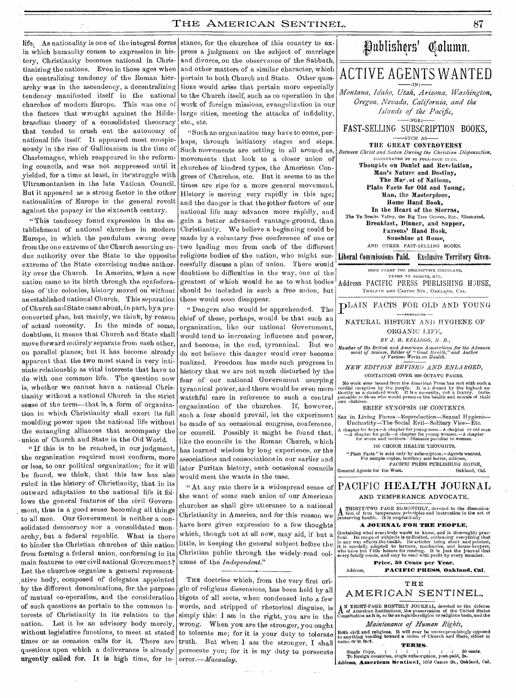in which humanity comes to expression in history, Christianity becomes national in Christianizing the nations. Even in those ages when the centralizing tendency of the Roman hierarchy was in the ascendency, a decentralizing tendency manifested itself in the national churches of modern Europe. This was one of the factors that wrought against the Hildebrandian theory of a consolidated theocracy that tended to crush out the autonomy of national life itself. It appeared most conspicuously in the rise of Gallicanism in the time of Charlemagne, which reappeared in the reforming councils, and was not suppressed until it yielded, for a time at least, in its struggle with Ultramontanism in the late Vatican Council. But it appeared as a strong factor in the other nationalities of Europe in the general revolt against the papacy in' the sixteenth century.

"This tendency found expression in the establishment of national churches in modern Europe, in which the pendulum swung over from the one extreme of the Church asserting undue authority over the State to the opposite extreme of the State exercising undue authority over the Church. In America, when a new nation came to its birth through the confederation of-the colonies, history moved on without an established national Church. This separation of Church and State came about, in part, by a preconcerted plan, but mainly, we think, by reason of actual necessity. In the minds of some, doubtless, it means that Church and State shall move forward entirely separate from each other, on parallel planes; but it has become already apparent that the two must stand in very intimate relationship as vital interests that have to do with one common life. The question now is, whether we cannot have a national Christianity without a national Church in the strict sense of the term—that is, a form of organization in which Christianity shall exert its full moulding power upon the national life without the entangling alliances that accompany the union of Church and State in the Old World.

"If this is to be reached, in our judgment. the organization required must conform, more or less, to our political organization; for it will be found, we think, that this law has also ruled in the history of Christianity, that in its outward adaptation to the national life it follows the general features of the civil Govern ment, thus in a good sense becoming all things to all men. Our Government is neither a consolidated democracy nor a consolidated monarchy, but a federal republic. What is there to hinder the Christian churches of this nation from forming a federal union, conforming in its main features to our civil national Government? Let the churches organize a general representative body, composed of delegates appointed by the different denominations, for the purpose of mutual co-operation, and the consideration of such questions as pertain to the common interests of Christianity in its relation to the nation. Let it be an advisory body merely, without legislative functions, to meet at stated times or as occasion calls for it. There are questions upon which a deliverance is already urgently called for. It is high time, for in- error. $-Macaulay$ .

life. As nationality is one of the integral forms stance, for the churches of this country to express a judgment on the subject of marriage and divorce, on the observance of the Sabbath, and other matters of a similar character, which pertain to both Church and State. Other questions would arise that pertain more especially to the Church itself, such as co-operation in the work of foreign missions, evangelization in our large cities, meeting the attacks of infidelity, etc., etc.

> "Such an organization may have to come, perhaps, through initiatory stages and steps. Such movements are setting in all around us, movements that look to a closer union of churches of kindred types, the American Congress of Churches, etc. But it seems to us the times are ripe for a more general movement. History is moving very rapidly in this age; and the danger is that the jother factors of our national life may advance more rapidly, and gain a better advanced vantage-ground, than Christianity. We believe a beginning could be made by a voluntary free conference of one or two leading men from each of the different religious bodies of the nation, who might successfully discuss a plan of union. There would doubtless be difficulties in the way, one of the greatest of which would be as to what bodies should be included in such a free union, but these would soon disappear.

> " Dangers also would be apprehended. The chief of these, perhaps, would be that such an organization, like our national Government, would tend to increasing influence and power, and become, in the end, tyrannical. But we do not believe this danger would ever become realized. Freedom has made such progress in history that we are not much disturbed by the fear of our national Government usurping tyrannical power, and there would be even more watchful care in reference to such a central organization of the churches. If, however, such a fear should prevail, let the experiment be made of an occasional congress, conference, or council. Possibly it might be found that, like the councils in the Roman Church, which has learned wisdom by long experience, or the associations and consociationsin our earlier and later Puritan history, such occasional councils would meet the wants in the case.

> " At any rate there is a widespread sense of the want of some such union of our American churches as shall give utterance to a national Christianity in America, and for this reason we have here given expression to a few thoughts which, though not at all new, may aid, if but a little, in keeping the general subject before the Christian public through the widely-read columns of the *Independent."*

> THE doctrine which, from the very first origin of religious dissensions, has been held by all bigots of all sects, when condensed into a few words, and stripped of rhetorical disguise, is simply this: I am in the right, you are in the wrong. When you are the stronger, you ought to tolerate me; for it is your duty to tolerate truth. But when I am the stronger, I shall persecute you; for it is my duty to persecute



Containing what everybody wants to know, and is thoroughly practical. Its range of subjects is unlimited, embracing everything that in any way affects the health. Its articles being short and pointed, it is specially adapt **Price,** 50 **Cents per Year,** 

# THE AMERICAN SENTINEL.

Address, **PACIFIC PRESS, Oakland, Cal.** 

**A** N EIGHT-PAGE MONTHLY JOURNAL, devoted to the defense of American Institutions, the preservation of the United States Constitution as it is, so far as regards religion or religious tests, and the

*Maintenance of Human Rights,* 

Both civil and religious. It will ever be uncompromisingly opposed to anything tending toward a union of Church and State, either in name or in fact. **TERMS.** 

Single Copy, : : : : : : 50 cents. To foreign countries, single subscription, post-paid, 2s. Addressi **American Sentinel,** 1059 Castro St., Oakland, Cal.